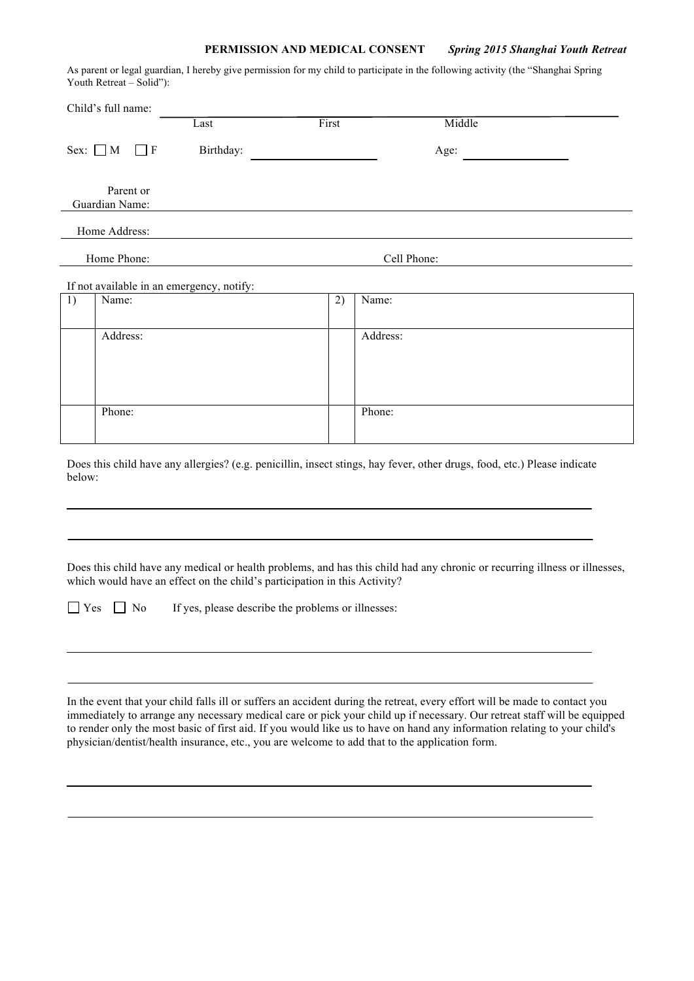## **PERMISSION AND MEDICAL CONSENT** *Spring 2015 Shanghai Youth Retreat*

As parent or legal guardian, I hereby give permission for my child to participate in the following activity (the "Shanghai Spring Youth Retreat – Solid"):

| Child's full name:                        |                        |  |           |       |          |  |  |
|-------------------------------------------|------------------------|--|-----------|-------|----------|--|--|
|                                           |                        |  | Last      | First | Middle   |  |  |
|                                           | Sex: $\Box$ M $\Box$ F |  | Birthday: |       | Age:     |  |  |
| Parent or<br>Guardian Name:               |                        |  |           |       |          |  |  |
|                                           | Home Address:          |  |           |       |          |  |  |
| Home Phone:<br>Cell Phone:                |                        |  |           |       |          |  |  |
| If not available in an emergency, notify: |                        |  |           |       |          |  |  |
| 1)                                        | Name:                  |  |           | 2)    | Name:    |  |  |
|                                           |                        |  |           |       |          |  |  |
|                                           | Address:               |  |           |       | Address: |  |  |
|                                           |                        |  |           |       |          |  |  |
|                                           |                        |  |           |       |          |  |  |
|                                           |                        |  |           |       |          |  |  |
|                                           | Phone:                 |  |           |       | Phone:   |  |  |
|                                           |                        |  |           |       |          |  |  |

Does this child have any allergies? (e.g. penicillin, insect stings, hay fever, other drugs, food, etc.) Please indicate below:

Does this child have any medical or health problems, and has this child had any chronic or recurring illness or illnesses, which would have an effect on the child's participation in this Activity?

 $\Box$  Yes  $\Box$  No If yes, please describe the problems or illnesses:

In the event that your child falls ill or suffers an accident during the retreat, every effort will be made to contact you immediately to arrange any necessary medical care or pick your child up if necessary. Our retreat staff will be equipped to render only the most basic of first aid. If you would like us to have on hand any information relating to your child's physician/dentist/health insurance, etc., you are welcome to add that to the application form.